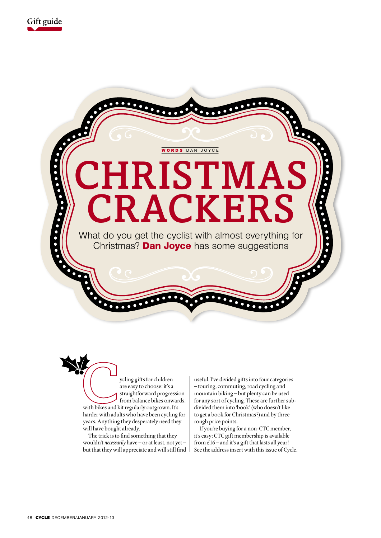



ycling gifts for children are easy to choose: it's a straightforward progression from balance bikes onwards, with bikes and kit regularly outgrown. It's harder with adults who have been cycling for years. Anything they desperately need they will have bought already.

The trick is to find something that they wouldn't *necessarily* have – or at least, not yet – but that they will appreciate and will still find

useful. I've divided gifts into four categories – touring, commuting, road cycling and mountain biking – but plenty can be used for any sort of cycling. These are further subdivided them into 'book' (who doesn't like to get a book for Christmas?) and by three rough price points.

If you're buying for a non-CTC member, it's easy: CTC gift membership is available from  $£16$  – and it's a gift that lasts all year! See the address insert with this issue of Cycle.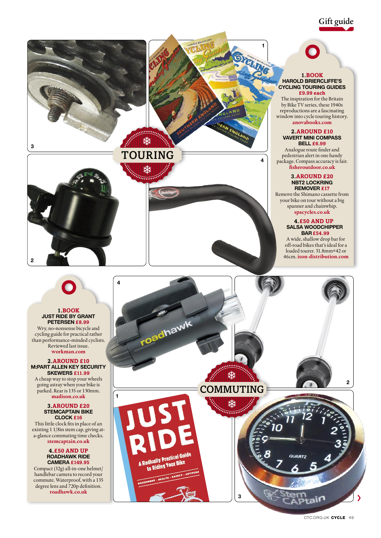Gift guide





# **TOURING**





### **1.BOOK Harold Briercliffe's Cycling Touring Guides**

**1**

**4**

**£9.99 each** The inspiration for the Britain by Bike TV series, these 1940s reproductions are a fascinating window into cycle touring history. **anovabooks.com**

### **2.Around £10**

**Vavert Mini Compass Bell £6.99** Analogue route finder and pedestrian alert in one handy package. Compass accuracy is fair. **fisheroutdoor.co.uk**

### **3.Around £20 NBT2 Lockring Remover £17**

Remove the Shimano cassette from your bike on tour without a big spanner and chainwhip. **spacycles.co.uk** 

### **4.£50 and up Salsa Woodchipper**

**Bar £54.99**  A wide, shallow drop bar for off-road bikes that's ideal for a loaded tourer. 31.8mm×42 or 46cm. **ison-distribution.com**



#### **1.BOOK Just Ride by Grant Petersen £8.99**

Wry, no-nonsense bicycle and cycling guide for practical rather than performance-minded cyclists. Reviewed last issue. **workman.com**

### **2.Around £10 M:Part Allen Key Security Skewers £11.99**

A cheap way to stop your wheels going astray when your bike is parked. Rear is 135 or 130mm. **madison.co.uk** 

### **3.Around £20 StemCAPtain Bike Clock £16**

This little clock fits in place of an existing 1 1/8in stem cap, giving ata-glance commuting time checks. **stemcaptain.co.uk**

### **4.£50 and up roadhawk ride camera £149.95**

Compact (32g) all-in-one helmet/ handlebar camera to record your commute. Waterproof, with a 135 degree lens and 720p definition. **roadhawk.co.uk**